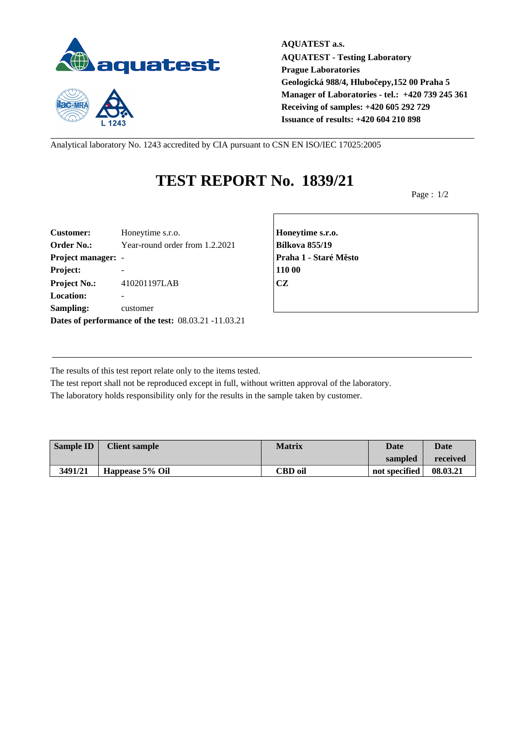

 $1243$ 

**AQUATEST a.s. AQUATEST - Testing Laboratory Prague Laboratories Geologická 988/4, Hlubočepy,152 00 Praha 5 Manager of Laboratories - tel.: +420 739 245 361 Receiving of samples: +420 605 292 729 Issuance of results: +420 604 210 898**

Analytical laboratory No. 1243 accredited by CIA pursuant to CSN EN ISO/IEC 17025:2005

## **TEST REPORT No. 1839/21**

Page : 1/2

| <b>Customer:</b>          | Honeytime s.r.o.                                     | Honey         |
|---------------------------|------------------------------------------------------|---------------|
| <b>Order No.:</b>         | Year-round order from 1.2.2021                       | <b>Bílkov</b> |
| <b>Project manager: -</b> |                                                      | Praha         |
| Project:                  |                                                      | 110 00        |
| <b>Project No.:</b>       | 410201197LAB                                         | <b>CZ</b>     |
| <b>Location:</b>          |                                                      |               |
| Sampling:                 | customer                                             |               |
|                           | Dates of performance of the test: 08.03.21 -11.03.21 |               |

**Customer:** Honeytime s.r.o. **Honeytime s.r.o. Order No.:** Year-round order from 1.2.2021 **Bílkova 855/19 Project manager:** - **Praha 1 - Staré Město**

The results of this test report relate only to the items tested.

The test report shall not be reproduced except in full, without written approval of the laboratory. The laboratory holds responsibility only for the results in the sample taken by customer.

| <b>Sample ID</b> | <b>Client sample</b> | <b>Matrix</b>  | Date          | <b>Date</b> |
|------------------|----------------------|----------------|---------------|-------------|
|                  |                      |                | sampled       | received    |
| 3491/21          | Happease 5% Oil      | <b>CBD</b> oil | not specified | 08.03.21    |